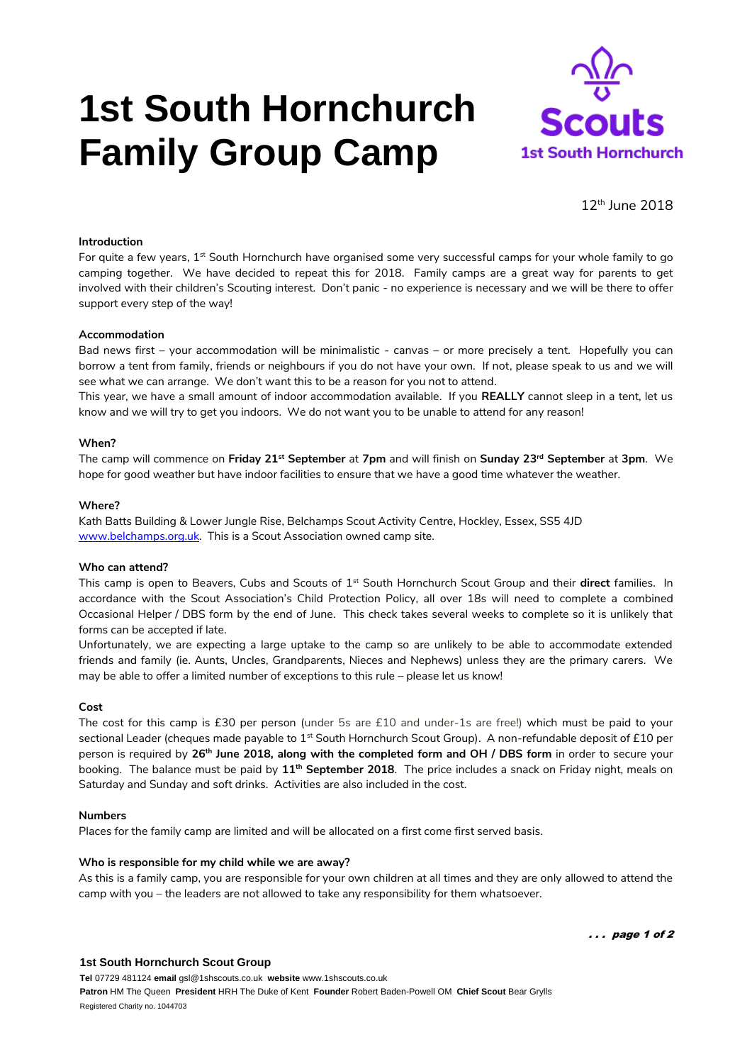# **1st South Hornchurch Family Group Camp**



12th June 2018

# **Introduction**

For quite a few years,  $1^{st}$  South Hornchurch have organised some very successful camps for your whole family to go camping together. We have decided to repeat this for 2018. Family camps are a great way for parents to get involved with their children's Scouting interest. Don't panic - no experience is necessary and we will be there to offer support every step of the way!

## **Accommodation**

Bad news first – your accommodation will be minimalistic - canvas – or more precisely a tent. Hopefully you can borrow a tent from family, friends or neighbours if you do not have your own. If not, please speak to us and we will see what we can arrange. We don't want this to be a reason for you not to attend.

This year, we have a small amount of indoor accommodation available. If you **REALLY** cannot sleep in a tent, let us know and we will try to get you indoors. We do not want you to be unable to attend for any reason!

#### **When?**

The camp will commence on **Friday 21st September** at **7pm** and will finish on **Sunday 23rd September** at **3pm**. We hope for good weather but have indoor facilities to ensure that we have a good time whatever the weather.

#### **Where?**

Kath Batts Building & Lower Jungle Rise, Belchamps Scout Activity Centre, Hockley, Essex, SS5 4JD [www.belchamps.org.uk.](http://www.belchamps.org.uk/) This is a Scout Association owned camp site.

#### **Who can attend?**

This camp is open to Beavers, Cubs and Scouts of 1st South Hornchurch Scout Group and their **direct** families. In accordance with the Scout Association's Child Protection Policy, all over 18s will need to complete a combined Occasional Helper / DBS form by the end of June. This check takes several weeks to complete so it is unlikely that forms can be accepted if late.

Unfortunately, we are expecting a large uptake to the camp so are unlikely to be able to accommodate extended friends and family (ie. Aunts, Uncles, Grandparents, Nieces and Nephews) unless they are the primary carers. We may be able to offer a limited number of exceptions to this rule – please let us know!

#### **Cost**

The cost for this camp is £30 per person (under 5s are £10 and under-1s are free!) which must be paid to your sectional Leader (cheques made payable to 1<sup>st</sup> South Hornchurch Scout Group). A non-refundable deposit of £10 per person is required by **26th June 2018, along with the completed form and OH / DBS form** in order to secure your booking. The balance must be paid by **11 th September 2018**. The price includes a snack on Friday night, meals on Saturday and Sunday and soft drinks. Activities are also included in the cost.

#### **Numbers**

Places for the family camp are limited and will be allocated on a first come first served basis.

## **Who is responsible for my child while we are away?**

As this is a family camp, you are responsible for your own children at all times and they are only allowed to attend the camp with you – the leaders are not allowed to take any responsibility for them whatsoever.

. . . page 1 of 2

## **1st South Hornchurch Scout Group**

**Tel** 07729 481124 **email** gsl@1shscouts.co.uk **website** www.1shscouts.co.uk **Patron** HM The Queen **President** HRH The Duke of Kent **Founder** Robert Baden-Powell OM **Chief Scout** Bear Grylls Registered Charity no. 1044703